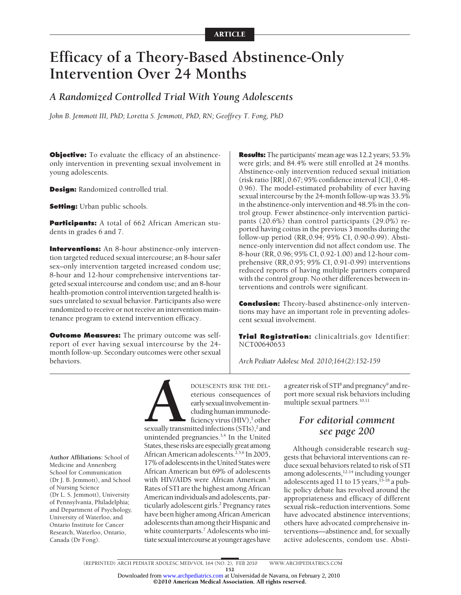# **Efficacy of a Theory-Based Abstinence-Only Intervention Over 24 Months**

# *A Randomized Controlled Trial With Young Adolescents*

*John B. Jemmott III, PhD; Loretta S. Jemmott, PhD, RN; Geoffrey T. Fong, PhD*

**Objective:** To evaluate the efficacy of an abstinenceonly intervention in preventing sexual involvement in young adolescents.

**Design:** Randomized controlled trial.

**Setting:** Urban public schools.

**Participants:** A total of 662 African American students in grades 6 and 7.

**Interventions:** An 8-hour abstinence-only intervention targeted reduced sexual intercourse; an 8-hour safer sex–only intervention targeted increased condom use; 8-hour and 12-hour comprehensive interventions targeted sexual intercourse and condom use; and an 8-hour health-promotion control intervention targeted health issues unrelated to sexual behavior. Participants also were randomized to receive or not receive an intervention maintenance program to extend intervention efficacy.

**Outcome Measures:** The primary outcome was selfreport of ever having sexual intercourse by the 24 month follow-up. Secondary outcomes were other sexual behaviors.

**Results:** The participants' mean age was 12.2 years; 53.5% were girls; and 84.4% were still enrolled at 24 months. Abstinence-only intervention reduced sexual initiation (risk ratio [RR],0.67; 95% confidence interval [CI], 0.48- 0.96). The model-estimated probability of ever having sexual intercourse by the 24-month follow-up was 33.5% in the abstinence-only intervention and 48.5% in the control group. Fewer abstinence-only intervention participants (20.6%) than control participants (29.0%) reported having coitus in the previous 3 months during the follow-up period (RR,0.94; 95% CI, 0.90-0.99). Abstinence-only intervention did not affect condom use. The 8-hour (RR, 0.96; 95% CI, 0.92-1.00) and 12-hour comprehensive (RR,0.95; 95% CI, 0.91-0.99) interventions reduced reports of having multiple partners compared with the control group. No other differences between interventions and controls were significant.

**Conclusion:** Theory-based abstinence-only interventions may have an important role in preventing adolescent sexual involvement.

**Trial Registration:** clinicaltrials.gov Identifier: NCT00640653

*Arch Pediatr Adolesc Med. 2010;164(2):152-159*

**Author Affiliations:** School of Medicine and Annenberg School for Communication (Dr J. B. Jemmott), and School of Nursing Science (Dr L. S. Jemmott), University of Pennsylvania, Philadelphia; and Department of Psychology, University of Waterloo, and Ontario Institute for Cancer Research, Waterloo, Ontario, Canada (Dr Fong).

**POLESCENTS RISK THE DEL-**<br>
eterious consequences of<br>
early sexual involvement in-<br>
cluding human immunode-<br>
ficiency virus (HIV),<sup>1</sup> other<br>
sexually transmitted infections (STIs),<sup>2</sup> and<br>
unintended pregnancies <sup>3,4</sup> In t eterious consequences of early sexual involvement including human immunodeficiency virus  $(HIV)$ ,<sup>1</sup> other

unintended pregnancies.<sup>3,4</sup> In the United States, these risks are especiallygreat among African American adolescents.<sup>2,5,6</sup> In 2005, 17% of adolescents in the United States were African American but 69% of adolescents with HIV/AIDS were African American.<sup>5</sup> Rates of STI are the highest among African American individuals and adolescents, particularly adolescent girls.<sup>2</sup> Pregnancy rates have been higher among African American adolescents than among their Hispanic and white counterparts.<sup>7</sup> Adolescents who initiate sexual intercourse at younger ages have

a greater risk of STI<sup>8</sup> and pregnancy<sup>9</sup> and report more sexual risk behaviors including multiple sexual partners.<sup>10,11</sup>

# *For editorial comment see page 200*

Although considerable research suggests that behavioral interventions can reduce sexual behaviors related to risk of STI among adolescents,  $12-14$  including younger adolescents aged 11 to 15 years,  $15-18$  a public policy debate has revolved around the appropriateness and efficacy of different sexual risk–reduction interventions. Some have advocated abstinence interventions; others have advocated comprehensive interventions—abstinence and, for sexually active adolescents, condom use. Absti-

©2010 American Medical Association. All rights reserved.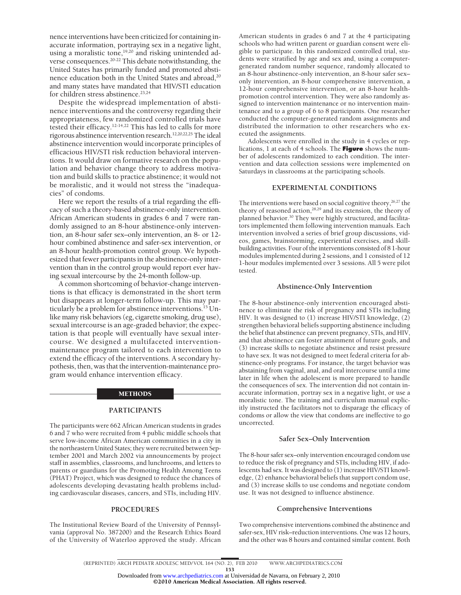nence interventions have been criticized for containing inaccurate information, portraying sex in a negative light, using a moralistic tone,<sup>19,20</sup> and risking unintended adverse consequences.20-22 This debate notwithstanding, the United States has primarily funded and promoted abstinence education both in the United States and abroad,<sup>20</sup> and many states have mandated that HIV/STI education for children stress abstinence.<sup>23,24</sup>

Despite the widespread implementation of abstinence interventions and the controversy regarding their appropriateness, few randomized controlled trials have tested their efficacy.12-14,22 This has led to calls for more rigorous abstinence intervention research.<sup>12,20,22,25</sup> The ideal abstinence intervention would incorporate principles of efficacious HIV/STI risk reduction behavioral interventions. It would draw on formative research on the population and behavior change theory to address motivation and build skills to practice abstinence; it would not be moralistic, and it would not stress the "inadequacies" of condoms.

Here we report the results of a trial regarding the efficacy of such a theory-based abstinence-only intervention. African American students in grades 6 and 7 were randomly assigned to an 8-hour abstinence-only intervention, an 8-hour safer sex–only intervention, an 8- or 12 hour combined abstinence and safer-sex intervention, or an 8-hour health-promotion control group. We hypothesized that fewer participants in the abstinence-only intervention than in the control group would report ever having sexual intercourse by the 24-month follow-up.

A common shortcoming of behavior-change interventions is that efficacy is demonstrated in the short term but disappears at longer-term follow-up. This may particularly be a problem for abstinence interventions.<sup>15</sup> Unlike many risk behaviors (eg, cigarette smoking, drug use), sexual intercourse is an age-graded behavior; the expectation is that people will eventually have sexual intercourse. We designed a multifaceted interventionmaintenance program tailored to each intervention to extend the efficacy of the interventions. A secondary hypothesis, then, was that the intervention-maintenance program would enhance intervention efficacy.

#### METHODS

#### **PARTICIPANTS**

The participants were 662 African American students in grades 6 and 7 who were recruited from 4 public middle schools that serve low-income African American communities in a city in the northeastern United States; they were recruited between September 2001 and March 2002 via announcements by project staff in assemblies, classrooms, and lunchrooms, and letters to parents or guardians for the Promoting Health Among Teens (PHAT) Project, which was designed to reduce the chances of adolescents developing devastating health problems including cardiovascular diseases, cancers, and STIs, including HIV.

#### **PROCEDURES**

The Institutional Review Board of the University of Pennsylvania (approval No. 387200) and the Research Ethics Board of the University of Waterloo approved the study. African American students in grades 6 and 7 at the 4 participating schools who had written parent or guardian consent were eligible to participate. In this randomized controlled trial, students were stratified by age and sex and, using a computergenerated random number sequence, randomly allocated to an 8-hour abstinence-only intervention, an 8-hour safer sex– only intervention, an 8-hour comprehensive intervention, a 12-hour comprehensive intervention, or an 8-hour healthpromotion control intervention. They were also randomly assigned to intervention maintenance or no intervention maintenance and to a group of 6 to 8 participants. One researcher conducted the computer-generated random assignments and distributed the information to other researchers who executed the assignments.

Adolescents were enrolled in the study in 4 cycles or replications, 1 at each of 4 schools. The **Figure** shows the number of adolescents randomized to each condition. The intervention and data collection sessions were implemented on Saturdays in classrooms at the participating schools.

#### **EXPERIMENTAL CONDITIONS**

The interventions were based on social cognitive theory,<sup>26,27</sup> the theory of reasoned action,<sup>28,29</sup> and its extension, the theory of planned behavior.<sup>30</sup> They were highly structured, and facilitators implemented them following intervention manuals. Each intervention involved a series of brief group discussions, videos, games, brainstorming, experiential exercises, and skillbuilding activities. Four of the interventions consisted of 8 1-hour modules implemented during 2 sessions, and 1 consisted of 12 1-hour modules implemented over 3 sessions. All 5 were pilot tested.

#### **Abstinence-Only Intervention**

The 8-hour abstinence-only intervention encouraged abstinence to eliminate the risk of pregnancy and STIs including HIV. It was designed to (1) increase HIV/STI knowledge, (2) strengthen behavioral beliefs supporting abstinence including the belief that abstinence can prevent pregnancy, STIs, and HIV, and that abstinence can foster attainment of future goals, and (3) increase skills to negotiate abstinence and resist pressure to have sex. It was not designed to meet federal criteria for abstinence-only programs. For instance, the target behavior was abstaining from vaginal, anal, and oral intercourse until a time later in life when the adolescent is more prepared to handle the consequences of sex. The intervention did not contain inaccurate information, portray sex in a negative light, or use a moralistic tone. The training and curriculum manual explicitly instructed the facilitators not to disparage the efficacy of condoms or allow the view that condoms are ineffective to go uncorrected.

#### **Safer Sex–Only Intervention**

The 8-hour safer sex–only intervention encouraged condom use to reduce the risk of pregnancy and STIs, including HIV, if adolescents had sex. It was designed to (1) increase HIV/STI knowledge, (2) enhance behavioral beliefs that support condom use, and (3) increase skills to use condoms and negotiate condom use. It was not designed to influence abstinence.

#### **Comprehensive Interventions**

Two comprehensive interventions combined the abstinence and safer-sex, HIV risk–reduction interventions. One was 12 hours, and the other was 8 hours and contained similar content. Both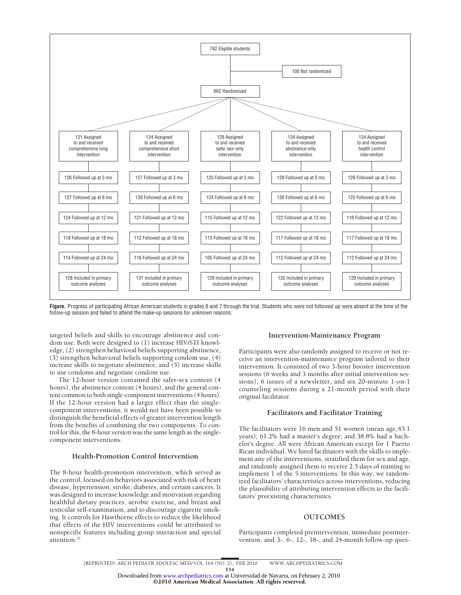

**Figure.** Progress of participating African American students in grades 6 and 7 through the trial. Students who were not followed up were absent at the time of the follow-up session and failed to attend the make-up sessions for unknown reasons.

targeted beliefs and skills to encourage abstinence and condom use. Both were designed to (1) increase HIV/STI knowledge, (2) strengthen behavioral beliefs supporting abstinence, (3) strengthen behavioral beliefs supporting condom use, (4) increase skills to negotiate abstinence, and (5) increase skills to use condoms and negotiate condom use.

The 12-hour version contained the safer-sex content (4 hours), the abstinence content (4 hours), and the general content common to both single-component interventions (4 hours). If the 12-hour version had a larger effect than the singlecomponent interventions, it would not have been possible to distinguish the beneficial effects of greater intervention length from the benefits of combining the two components. To control for this, the 8-hour version was the same length as the singlecomponent interventions.

#### **Health-Promotion Control Intervention**

The 8-hour health-promotion intervention, which served as the control, focused on behaviors associated with risk of heart disease, hypertension, stroke, diabetes, and certain cancers. It was designed to increase knowledge and motivation regarding healthful dietary practices, aerobic exercise, and breast and testicular self-examination, and to discourage cigarette smoking. It controls for Hawthorne effects to reduce the likelihood that effects of the HIV interventions could be attributed to nonspecific features including group interaction and special attention.<sup>31</sup>

#### **Intervention-Maintenance Program**

Participants were also randomly assigned to receive or not receive an intervention-maintenance program tailored to their intervention. It consisted of two 3-hour booster intervention sessions (6 weeks and 3 months after initial intervention sessions), 6 issues of a newsletter, and six 20-minute 1-on-1 counseling sessions during a 21-month period with their original facilitator.

# **Facilitators and Facilitator Training**

The facilitators were 16 men and 51 women (mean age,43.1 years); 61.2% had a master's degree; and 38.8% had a bachelor's degree. All were African American except for 1 Puerto Rican individual. We hired facilitators with the skills to implement any of the interventions, stratified them for sex and age, and randomly assigned them to receive 2.5 days of training to implement 1 of the 5 interventions. In this way, we randomized facilitators' characteristics across interventions, reducing the plausibility of attributing intervention effects to the facilitators' preexisting characteristics.

# **OUTCOMES**

Participants completed preintervention, immediate postintervention, and 3-, 6-, 12-, 18-, and 24-month follow-up ques-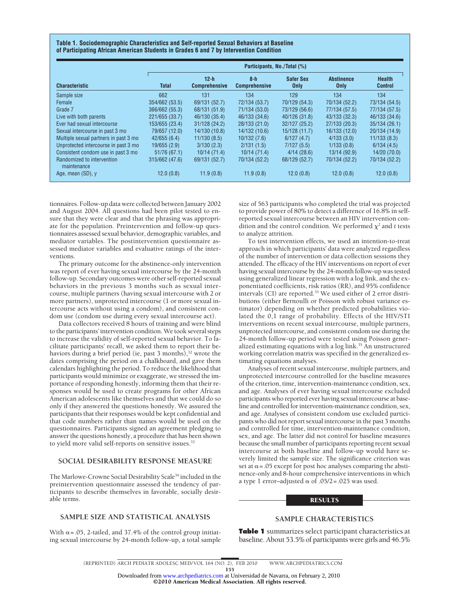**Table 1. Sociodemographic Characteristics and Self-reported Sexual Behaviors at Baseline of Participating African American Students in Grades 6 and 7 by Intervention Condition**

|                                           | Participants, No./Total (%) |                                |                               |                          |                           |                                 |  |
|-------------------------------------------|-----------------------------|--------------------------------|-------------------------------|--------------------------|---------------------------|---------------------------------|--|
| <b>Characteristic</b>                     | <b>Total</b>                | $12-h$<br><b>Comprehensive</b> | $8-h$<br><b>Comprehensive</b> | <b>Safer Sex</b><br>Only | <b>Abstinence</b><br>Only | <b>Health</b><br><b>Control</b> |  |
| Sample size                               | 662                         | 131                            | 134                           | 129                      | 134                       | 134                             |  |
| Female                                    | 354/662 (53.5)              | 69/131 (52.7)                  | 72/134 (53.7)                 | 70/129 (54.3)            | 70/134 (52.2)             | 73/134 (54.5)                   |  |
| Grade 7                                   | 366/662 (55.3)              | 68/131 (51.9)                  | 71/134 (53.0)                 | 73/129 (56.6)            | 77/134 (57.5)             | 77/134 (57.5)                   |  |
| Live with both parents                    | 221/655 (33.7)              | 46/130 (35.4)                  | 46/133 (34.6)                 | 40/126 (31.8)            | 43/133 (32.3)             | 46/133 (34.6)                   |  |
| Ever had sexual intercourse               | 153/655 (23.4)              | 31/128 (24.2)                  | 28/133 (21.0)                 | 32/127 (25.2)            | 27/133 (20.3)             | 35/134 (26.1)                   |  |
| Sexual intercourse in past 3 mo           | 79/657 (12.0)               | 14/130 (10.8)                  | 14/132 (10.6)                 | 15/128(11.7)             | 16/133(12.0)              | 20/134 (14.9)                   |  |
| Multiple sexual partners in past 3 mo     | 42/655(6.4)                 | 11/130(8.5)                    | 10/132(7.6)                   | 6/127(4.7)               | 4/133(3.0)                | 11/133(8.3)                     |  |
| Unprotected intercourse in past 3 mo      | 19/655(2.9)                 | 3/130(2.3)                     | 2/131(1.5)                    | 7/127(5.5)               | 1/133(0.8)                | 6/134(4.5)                      |  |
| Consistent condom use in past 3 mo        | 51/76(67.1)                 | 10/14(71.4)                    | 10/14(71.4)                   | 4/14(28.6)               | 13/14 (92.9)              | 14/20(70.0)                     |  |
| Randomized to intervention<br>maintenance | 315/662 (47.6)              | 69/131 (52.7)                  | 70/134 (52.2)                 | 68/129 (52.7)            | 70/134 (52.2)             | 70/134 (52.2)                   |  |
| Age, mean (SD), y                         | 12.0(0.8)                   | 11.9(0.8)                      | 11.9(0.8)                     | 12.0(0.8)                | 12.0(0.8)                 | 12.0(0.8)                       |  |

tionnaires. Follow-up data were collected between January 2002 and August 2004. All questions had been pilot tested to ensure that they were clear and that the phrasing was appropriate for the population. Preintervention and follow-up questionnaires assessed sexual behavior, demographic variables, and mediator variables. The postintervention questionnaire assessed mediator variables and evaluative ratings of the interventions.

The primary outcome for the abstinence-only intervention was report of ever having sexual intercourse by the 24-month follow-up. Secondary outcomes were other self-reported sexual behaviors in the previous 3 months such as sexual intercourse, multiple partners (having sexual intercourse with 2 or more partners), unprotected intercourse (1 or more sexual intercourse acts without using a condom), and consistent condom use (condom use during every sexual intercourse act).

Data collectors received 8 hours of training and were blind to the participants' intervention condition. We took several steps to increase the validity of self-reported sexual behavior. To facilitate participants' recall, we asked them to report their behaviors during a brief period (ie, past 3 months),<sup>32</sup> wrote the dates comprising the period on a chalkboard, and gave them calendars highlighting the period. To reduce the likelihood that participants would minimize or exaggerate, we stressed the importance of responding honestly, informing them that their responses would be used to create programs for other African American adolescents like themselves and that we could do so only if they answered the questions honestly. We assured the participants that their responses would be kept confidential and that code numbers rather than names would be used on the questionnaires. Participants signed an agreement pledging to answer the questions honestly, a procedure that has been shown to yield more valid self-reports on sensitive issues.<sup>33</sup>

# **SOCIAL DESIRABILITY RESPONSE MEASURE**

The Marlowe-Crowne Social Desirability Scale<sup>34</sup> included in the preintervention questionnaire assessed the tendency of participants to describe themselves in favorable, socially desirable terms.

# **SAMPLE SIZE AND STATISTICAL ANALYSIS**

With  $\alpha$  = .05, 2-tailed, and 37.4% of the control group initiating sexual intercourse by 24-month follow-up, a total sample size of 563 participants who completed the trial was projected to provide power of 80% to detect a difference of 16.8% in selfreported sexual intercourse between an HIV intervention condition and the control condition. We performed  $\chi^2$  and *t* tests to analyze attrition.

To test intervention effects, we used an intention-to-treat approach in which participants' data were analyzed regardless of the number of intervention or data collection sessions they attended. The efficacy of the HIV interventions on report of ever having sexual intercourse by the 24-month follow-up was tested using generalized linear regression with a log link, and the exponentiated coefficients, risk ratios (RR), and 95% confidence intervals (CI) are reported.<sup>35</sup> We used either of 2 error distributions (either Bernoulli or Poisson with robust variance estimator) depending on whether predicted probabilities violated the 0,1 range of probability. Effects of the HIV/STI interventions on recent sexual intercourse, multiple partners, unprotected intercourse, and consistent condom use during the 24-month follow-up period were tested using Poisson generalized estimating equations with a log link.<sup>35</sup> An unstructured working correlation matrix was specified in the generalized estimating equations analyses.

Analyses of recent sexual intercourse, multiple partners, and unprotected intercourse controlled for the baseline measures of the criterion, time, intervention-maintenance condition, sex, and age. Analyses of ever having sexual intercourse excluded participants who reported ever having sexual intercourse at baseline and controlled for intervention-maintenance condition, sex, and age. Analyses of consistent condom use excluded participants who did not report sexual intercourse in the past 3 months and controlled for time, intervention-maintenance condition, sex, and age. The latter did not control for baseline measures because the small number of participants reporting recent sexual intercourse at both baseline and follow-up would have severely limited the sample size. The significance criterion was set at  $\alpha$  = .05 except for post hoc analyses comparing the abstinence-only and 8-hour comprehensive interventions in which a type 1 error–adjusted  $\alpha$  of .05/2=.025 was used.

#### **RESULTS**

## **SAMPLE CHARACTERISTICS**

**Table 1** summarizes select participant characteristics at baseline. About 53.5% of participants were girls and 46.5%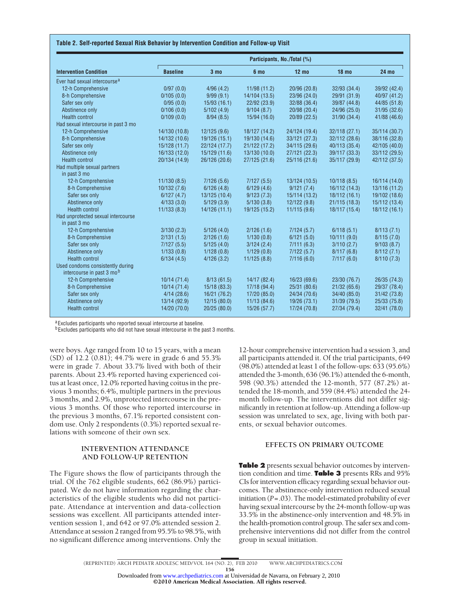#### **Table 2. Self-reported Sexual Risk Behavior by Intervention Condition and Follow-up Visit**

| <b>Intervention Condition</b>                                 | Participants, No./Total (%) |                 |               |                 |                  |               |  |  |
|---------------------------------------------------------------|-----------------------------|-----------------|---------------|-----------------|------------------|---------------|--|--|
|                                                               | <b>Baseline</b>             | 3 <sub>mo</sub> | 6 mo          | $12 \text{ mo}$ | 18 <sub>mo</sub> | <b>24 mo</b>  |  |  |
| Ever had sexual intercourse <sup>a</sup>                      |                             |                 |               |                 |                  |               |  |  |
| 12-h Comprehensive                                            | 0/97(0.0)                   | 4/96(4.2)       | 11/98 (11.2)  | 20/96 (20.8)    | 32/93 (34.4)     | 39/92 (42.4)  |  |  |
| 8-h Comprehensive                                             | 0/105(0.0)                  | 9/99(9.1)       | 14/104 (13.5) | 23/96 (24.0)    | 29/91 (31.9)     | 40/97 (41.2)  |  |  |
| Safer sex only                                                | 0/95(0.0)                   | 15/93(16.1)     | 22/92 (23.9)  | 32/88 (36.4)    | 39/87 (44.8)     | 44/85 (51.8)  |  |  |
| Abstinence only                                               | 0/106(0.0)                  | 5/102(4.9)      | 9/104(8.7)    | 20/98 (20.4)    | 24/96 (25.0)     | 31/95 (32.6)  |  |  |
| <b>Health control</b>                                         | 0/109(0.0)                  | 8/94(8.5)       | 15/94(16.0)   | 20/89 (22.5)    | 31/90 (34.4)     | 41/88 (46.6)  |  |  |
| Had sexual intercourse in past 3 mo                           |                             |                 |               |                 |                  |               |  |  |
| 12-h Comprehensive                                            | 14/130 (10.8)               | 12/125(9.6)     | 18/127 (14.2) | 24/124 (19.4)   | 32/118(27.1)     | 35/114 (30.7) |  |  |
| 8-h Comprehensive                                             | 14/132 (10.6)               | 19/126 (15.1)   | 19/130 (14.6) | 33/121 (27.3)   | 32/112 (28.6)    | 38/116 (32.8) |  |  |
| Safer sex only                                                | 15/128 (11.7)               | 22/124 (17.7)   | 21/122 (17.2) | 34/115 (29.6)   | 40/113 (35.4)    | 42/105 (40.0) |  |  |
| Abstinence only                                               | 16/133 (12.0)               | 15/129 (11.6)   | 13/130 (10.0) | 27/121 (22.3)   | 39/117 (33.3)    | 33/112 (29.5) |  |  |
| <b>Health control</b>                                         | 20/134 (14.9)               | 26/126 (20.6)   | 27/125 (21.6) | 25/116 (21.6)   | 35/117 (29.9)    | 42/112 (37.5) |  |  |
| Had multiple sexual partners<br>in past 3 mo                  |                             |                 |               |                 |                  |               |  |  |
| 12-h Comprehensive                                            | 11/130(8.5)                 | 7/126(5.6)      | 7/127(5.5)    | 13/124 (10.5)   | 10/118(8.5)      | 16/114 (14.0) |  |  |
| 8-h Comprehensive                                             | 10/132(7.6)                 | 6/126(4.8)      | 6/129(4.6)    | 9/121(7.4)      | 16/112 (14.3)    | 13/116 (11.2) |  |  |
| Safer sex only                                                | 6/127(4.7)                  | 13/125 (10.4)   | 9/123(7.3)    | 15/114 (13.2)   | 18/112(16.1)     | 19/102 (18.6) |  |  |
| Abstinence only                                               | 4/133(3.0)                  | 5/129(3.9)      | 5/130(3.8)    | 12/122(9.8)     | 21/115(18.3)     | 15/112 (13.4) |  |  |
| <b>Health control</b>                                         | 11/133(8.3)                 | 14/126(11.1)    | 19/125 (15.2) | 11/115(9.6)     | 18/117 (15.4)    | 18/112 (16.1) |  |  |
| Had unprotected sexual intercourse<br>in past 3 mo            |                             |                 |               |                 |                  |               |  |  |
| 12-h Comprehensive                                            | 3/130(2.3)                  | 5/126(4.0)      | 2/126(1.6)    | 7/124(5.7)      | 6/118(5.1)       | 8/113(7.1)    |  |  |
| 8-h Comprehensive                                             | 2/131(1.5)                  | 2/126(1.6)      | 1/130(0.8)    | 6/121(5.0)      | 10/111(9.0)      | 8/115(7.0)    |  |  |
| Safer sex only                                                | 7/127(5.5)                  | 5/125(4.0)      | 3/124(2.4)    | 7/111(6.3)      | 3/110(2.7)       | 9/103(8.7)    |  |  |
| Abstinence only                                               | 1/133(0.8)                  | 1/128(0.8)      | 1/129(0.8)    | 7/122(5.7)      | 8/117(6.8)       | 8/112(7.1)    |  |  |
| <b>Health control</b>                                         | 6/134(4.5)                  | 4/126(3.2)      | 11/125(8.8)   | 7/116(6.0)      | 7/117(6.0)       | 8/110(7.3)    |  |  |
| Used condoms consistently during<br>intercourse in past 3 mob |                             |                 |               |                 |                  |               |  |  |
| 12-h Comprehensive                                            | 10/14(71.4)                 | 8/13(61.5)      | 14/17 (82.4)  | 16/23 (69.6)    | 23/30 (76.7)     | 26/35 (74.3)  |  |  |
| 8-h Comprehensive                                             | 10/14(71.4)                 | 15/18 (83.3)    | 17/18 (94.4)  | 25/31 (80.6)    | 21/32(65.6)      | 29/37 (78.4)  |  |  |
| Safer sex only                                                | 4/14(28.6)                  | 16/21 (76.2)    | 17/20 (85.0)  | 24/34 (70.6)    | 34/40 (85.0)     | 31/42 (73.8)  |  |  |
| Abstinence only                                               | 13/14 (92.9)                | 12/15(80.0)     | 11/13(84.6)   | 19/26 (73.1)    | 31/39 (79.5)     | 25/33 (75.8)  |  |  |
| <b>Health control</b>                                         | 14/20 (70.0)                | 20/25 (80.0)    | 15/26 (57.7)  | 17/24 (70.8)    | 27/34 (79.4)     | 32/41 (78.0)  |  |  |

aExcludes participants who reported sexual intercourse at baseline.

<sup>b</sup> Excludes participants who did not have sexual intercourse in the past 3 months.

were boys. Age ranged from 10 to 15 years, with a mean (SD) of 12.2 (0.81); 44.7% were in grade 6 and 55.3% were in grade 7. About 33.7% lived with both of their parents. About 23.4% reported having experienced coitus at least once, 12.0% reported having coitus in the previous 3 months; 6.4%, multiple partners in the previous 3 months, and 2.9%, unprotected intercourse in the previous 3 months. Of those who reported intercourse in the previous 3 months, 67.1% reported consistent condom use. Only 2 respondents (0.3%) reported sexual relations with someone of their own sex.

# **INTERVENTION ATTENDANCE AND FOLLOW-UP RETENTION**

The Figure shows the flow of participants through the trial. Of the 762 eligible students, 662 (86.9%) participated. We do not have information regarding the characteristics of the eligible students who did not participate. Attendance at intervention and data-collection sessions was excellent. All participants attended intervention session 1, and 642 or 97.0% attended session 2. Attendance at session 2 ranged from 95.5% to 98.5%, with no significant difference among interventions. Only the 12-hour comprehensive intervention had a session 3, and all participants attended it. Of the trial participants, 649 (98.0%) attended at least 1 of the follow-ups: 633 (95.6%) attended the 3-month, 636 (96.1%) attended the 6-month, 598 (90.3%) attended the 12-month, 577 (87.2%) attended the 18-month, and 559 (84.4%) attended the 24 month follow-up. The interventions did not differ significantly in retention at follow-up. Attending a follow-up session was unrelated to sex, age, living with both parents, or sexual behavior outcomes.

# **EFFECTS ON PRIMARY OUTCOME**

**Table 2** presents sexual behavior outcomes by intervention condition and time. **Table 3** presents RRs and 95% CIs for intervention efficacy regarding sexual behavior outcomes. The abstinence-only intervention reduced sexual initiation (*P*=.03). The model-estimated probability of ever having sexual intercourse by the 24-month follow-up was 33.5% in the abstinence-only intervention and 48.5% in the health-promotion control group. The safer sex and comprehensive interventions did not differ from the control group in sexual initiation.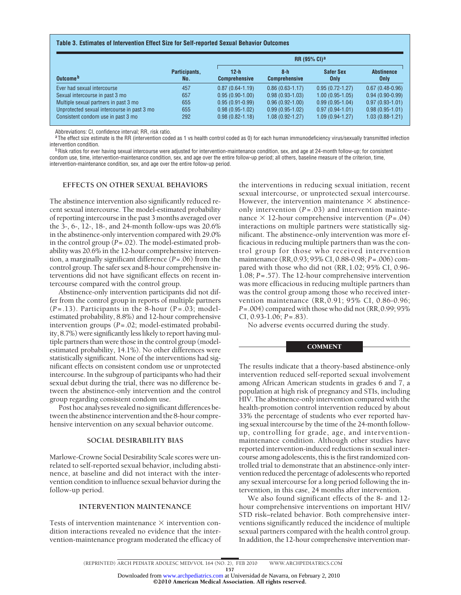#### **Table 3. Estimates of Intervention Effect Size for Self-reported Sexual Behavior Outcomes**

|                                             |                      |                              | <b>RR (95% CI)<sup>a</sup></b> |                                 |                           |  |  |  |
|---------------------------------------------|----------------------|------------------------------|--------------------------------|---------------------------------|---------------------------|--|--|--|
| Outcome <sup>b</sup>                        | Participants,<br>No. | 12-h<br><b>Comprehensive</b> | $8-h$<br><b>Comprehensive</b>  | <b>Safer Sex</b><br><b>Only</b> | <b>Abstinence</b><br>Only |  |  |  |
| Ever had sexual intercourse                 | 457                  | $0.87(0.64 - 1.19)$          | $0.86(0.63 - 1.17)$            | $0.95(0.72 - 1.27)$             | $0.67(0.48-0.96)$         |  |  |  |
| Sexual intercourse in past 3 mo             | 657                  | $0.95(0.90-1.00)$            | $0.98(0.93-1.03)$              | $1.00(0.95-1.05)$               | $0.94(0.90-0.99)$         |  |  |  |
| Multiple sexual partners in past 3 mo       | 655                  | $0.95(0.91-0.99)$            | $0.96(0.92 - 1.00)$            | $0.99(0.95-1.04)$               | $0.97(0.93 - 1.01)$       |  |  |  |
| Unprotected sexual intercourse in past 3 mo | 655                  | $0.98(0.95-1.02)$            | $0.99(0.95-1.02)$              | $0.97(0.94 - 1.01)$             | $0.98(0.95-1.01)$         |  |  |  |
| Consistent condom use in past 3 mo          | 292                  | $0.98(0.82 - 1.18)$          | $1.08(0.92 - 1.27)$            | $1.09(0.94-1.27)$               | $1.03(0.88-1.21)$         |  |  |  |

Abbreviations: CI, confidence interval; RR, risk ratio.

<sup>a</sup>The effect size estimate is the RR (intervention coded as 1 vs health control coded as 0) for each human immunodeficiency virus/sexually transmitted infection intervention condition.

<sup>b</sup> Risk ratios for ever having sexual intercourse were adjusted for intervention-maintenance condition, sex, and age at 24-month follow-up; for consistent condom use, time, intervention-maintenance condition, sex, and age over the entire follow-up period; all others, baseline measure of the criterion, time, intervention-maintenance condition, sex, and age over the entire follow-up period.

# **EFFECTS ON OTHER SEXUAL BEHAVIORS**

The abstinence intervention also significantly reduced recent sexual intercourse. The model-estimated probability of reporting intercourse in the past 3 months averaged over the 3-, 6-, 12-, 18-, and 24-month follow-ups was 20.6% in the abstinence-only intervention compared with 29.0% in the control group (*P*=.02). The model-estimated probability was 20.6% in the 12-hour comprehensive intervention, a marginally significant difference (*P*=.06) from the control group. The safer sex and 8-hour comprehensive interventions did not have significant effects on recent intercourse compared with the control group.

Abstinence-only intervention participants did not differ from the control group in reports of multiple partners (*P*=.13). Participants in the 8-hour (P=.03; modelestimated probability, 8.8%) and 12-hour comprehensive intervention groups (*P*=.02; model-estimated probability, 8.7%) were significantly less likely to report having multiple partners than were those in the control group (modelestimated probability, 14.1%). No other differences were statistically significant. None of the interventions had significant effects on consistent condom use or unprotected intercourse. In the subgroup of participants who had their sexual debut during the trial, there was no difference between the abstinence-only intervention and the control group regarding consistent condom use.

Post hoc analyses revealed no significant differences between the abstinence intervention and the 8-hour comprehensive intervention on any sexual behavior outcome.

#### **SOCIAL DESIRABILITY BIAS**

Marlowe-Crowne Social Desirability Scale scores were unrelated to self-reported sexual behavior, including abstinence, at baseline and did not interact with the intervention condition to influence sexual behavior during the follow-up period.

# **INTERVENTION MAINTENANCE**

Tests of intervention maintenance  $\times$  intervention condition interactions revealed no evidence that the intervention-maintenance program moderated the efficacy of

the interventions in reducing sexual initiation, recent sexual intercourse, or unprotected sexual intercourse. However, the intervention maintenance  $\times$  abstinenceonly intervention (*P*=.03) and intervention maintenance  $\times$  12-hour comprehensive intervention (*P*=.04) interactions on multiple partners were statistically significant. The abstinence-only intervention was more efficacious in reducing multiple partners than was the control group for those who received intervention maintenance (RR,0.93; 95% CI, 0.88-0.98; *P*=.006) compared with those who did not (RR,1.02; 95% CI, 0.96- 1.08; *P*=.57). The 12-hour comprehensive intervention was more efficacious in reducing multiple partners than was the control group among those who received intervention maintenance (RR,0.91; 95% CI, 0.86-0.96; *P*=.004) compared with those who did not (RR,0.99; 95% CI, 0.93-1.06; *P*=.83).

No adverse events occurred during the study.

#### **COMMENT**

The results indicate that a theory-based abstinence-only intervention reduced self-reported sexual involvement among African American students in grades 6 and 7, a population at high risk of pregnancy and STIs, including HIV. The abstinence-only intervention compared with the health-promotion control intervention reduced by about 33% the percentage of students who ever reported having sexual intercourse by the time of the 24-month followup, controlling for grade, age, and interventionmaintenance condition. Although other studies have reported intervention-induced reductions in sexual intercourse among adolescents, this is the first randomized controlled trial to demonstrate that an abstinence-only intervention reduced the percentage of adolescents who reported any sexual intercourse for a long period following the intervention, in this case, 24 months after intervention.

We also found significant effects of the 8- and 12 hour comprehensive interventions on important HIV/ STD risk–related behavior. Both comprehensive interventions significantly reduced the incidence of multiple sexual partners compared with the health control group. In addition, the 12-hour comprehensive intervention mar-

Downloaded from [www.archpediatrics.com](http://www.archpediatrics.com) at Universidad de Navarra, on February 2, 2010

©2010 American Medical Association. All rights reserved.

<sup>(</sup>REPRINTED) ARCH PEDIATR ADOLESC MED/ VOL 164 (NO. 2), FEB 2010 WWW.ARCHPEDIATRICS.COM 157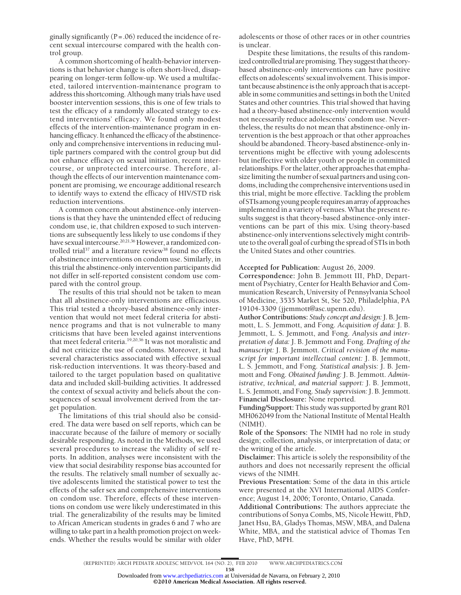ginally significantly  $(P=.06)$  reduced the incidence of recent sexual intercourse compared with the health control group.

A common shortcoming of health-behavior interventions is that behavior change is often short-lived, disappearing on longer-term follow-up. We used a multifaceted, tailored intervention-maintenance program to address this shortcoming. Although many trials have used booster intervention sessions, this is one of few trials to test the efficacy of a randomly allocated strategy to extend interventions' efficacy. We found only modest effects of the intervention-maintenance program in enhancing efficacy. It enhanced the efficacy of the abstinenceonly and comprehensive interventions in reducing multiple partners compared with the control group but did not enhance efficacy on sexual initiation, recent intercourse, or unprotected intercourse. Therefore, although the effects of our intervention maintenance component are promising, we encourage additional research to identify ways to extend the efficacy of HIV/STD risk reduction interventions.

A common concern about abstinence-only interventions is that they have the unintended effect of reducing condom use, ie, that children exposed to such interventions are subsequently less likely to use condoms if they have sexual intercourse.20,21,36 However, a randomized controlled trial<sup>37</sup> and a literature review<sup>38</sup> found no effects of abstinence interventions on condom use. Similarly, in this trial the abstinence-only intervention participants did not differ in self-reported consistent condom use compared with the control group.

The results of this trial should not be taken to mean that all abstinence-only interventions are efficacious. This trial tested a theory-based abstinence-only intervention that would not meet federal criteria for abstinence programs and that is not vulnerable to many criticisms that have been leveled against interventions that meet federal criteria.19,20,36 It was not moralistic and did not criticize the use of condoms. Moreover, it had several characteristics associated with effective sexual risk-reduction interventions. It was theory-based and tailored to the target population based on qualitative data and included skill-building activities. It addressed the context of sexual activity and beliefs about the consequences of sexual involvement derived from the target population.

The limitations of this trial should also be considered. The data were based on self reports, which can be inaccurate because of the failure of memory or socially desirable responding. As noted in the Methods, we used several procedures to increase the validity of self reports. In addition, analyses were inconsistent with the view that social desirability response bias accounted for the results. The relatively small number of sexually active adolescents limited the statistical power to test the effects of the safer sex and comprehensive interventions on condom use. Therefore, effects of these interventions on condom use were likely underestimated in this trial. The generalizability of the results may be limited to African American students in grades 6 and 7 who are willing to take part in a health promotion project on weekends. Whether the results would be similar with older adolescents or those of other races or in other countries is unclear.

Despite these limitations, the results of this randomized controlled trial are promising. They suggest that theorybased abstinence-only interventions can have positive effects on adolescents' sexual involvement. This is important because abstinence is the only approach that is acceptable in some communities and settings in both the United States and other countries. This trial showed that having had a theory-based abstinence-only intervention would not necessarily reduce adolescents' condom use. Nevertheless, the results do not mean that abstinence-only intervention is the best approach or that other approaches should be abandoned. Theory-based abstinence-only interventions might be effective with young adolescents but ineffective with older youth or people in committed relationships. For the latter, other approaches that emphasize limiting the number of sexual partners and using condoms, including the comprehensive interventions used in this trial, might be more effective. Tackling the problem ofSTIsamongyoungpeople requiresanarray ofapproaches implemented in a variety of venues. What the present results suggest is that theory-based abstinence-only interventions can be part of this mix. Using theory-based abstinence-only interventions selectively might contribute to the overall goal of curbing the spread of STIs in both the United States and other countries.

## **Accepted for Publication:** August 26, 2009.

**Correspondence:** John B. Jemmott III, PhD, Department of Psychiatry, Center for Health Behavior and Communication Research, University of Pennsylvania School of Medicine, 3535 Market St, Ste 520, Philadelphia, PA 19104-3309 (jjemmott@asc.upenn.edu).

**Author Contributions:** *Study concept and design:*J. B. Jemmott, L. S. Jemmott, and Fong. *Acquisition of data:* J. B. Jemmott, L. S. Jemmott, and Fong. *Analysis and interpretation of data:* J. B. Jemmott and Fong. *Drafting of the manuscript:* J. B. Jemmott. *Critical revision of the manuscript for important intellectual content:* J. B. Jemmott, L. S. Jemmott, and Fong. *Statistical analysis:* J. B. Jemmott and Fong. *Obtained funding:* J. B. Jemmott. *Administrative, technical, and material support:* J. B. Jemmott, L. S. Jemmott, and Fong. *Study supervision:* J. B. Jemmott. **Financial Disclosure:** None reported.

**Funding/Support:** This study was supported by grant R01 MH062049 from the National Institute of Mental Health (NIMH).

**Role of the Sponsors:** The NIMH had no role in study design; collection, analysis, or interpretation of data; or the writing of the article.

**Disclaimer:** This article is solely the responsibility of the authors and does not necessarily represent the official views of the NIMH.

**Previous Presentation:** Some of the data in this article were presented at the XVI International AIDS Conference; August 14, 2006; Toronto, Ontario, Canada.

**Additional Contributions:** The authors appreciate the contributions of Sonya Combs, MS, Nicole Hewitt, PhD, Janet Hsu, BA, Gladys Thomas, MSW, MBA, and Dalena White, MBA, and the statistical advice of Thomas Ten Have, PhD, MPH.

158